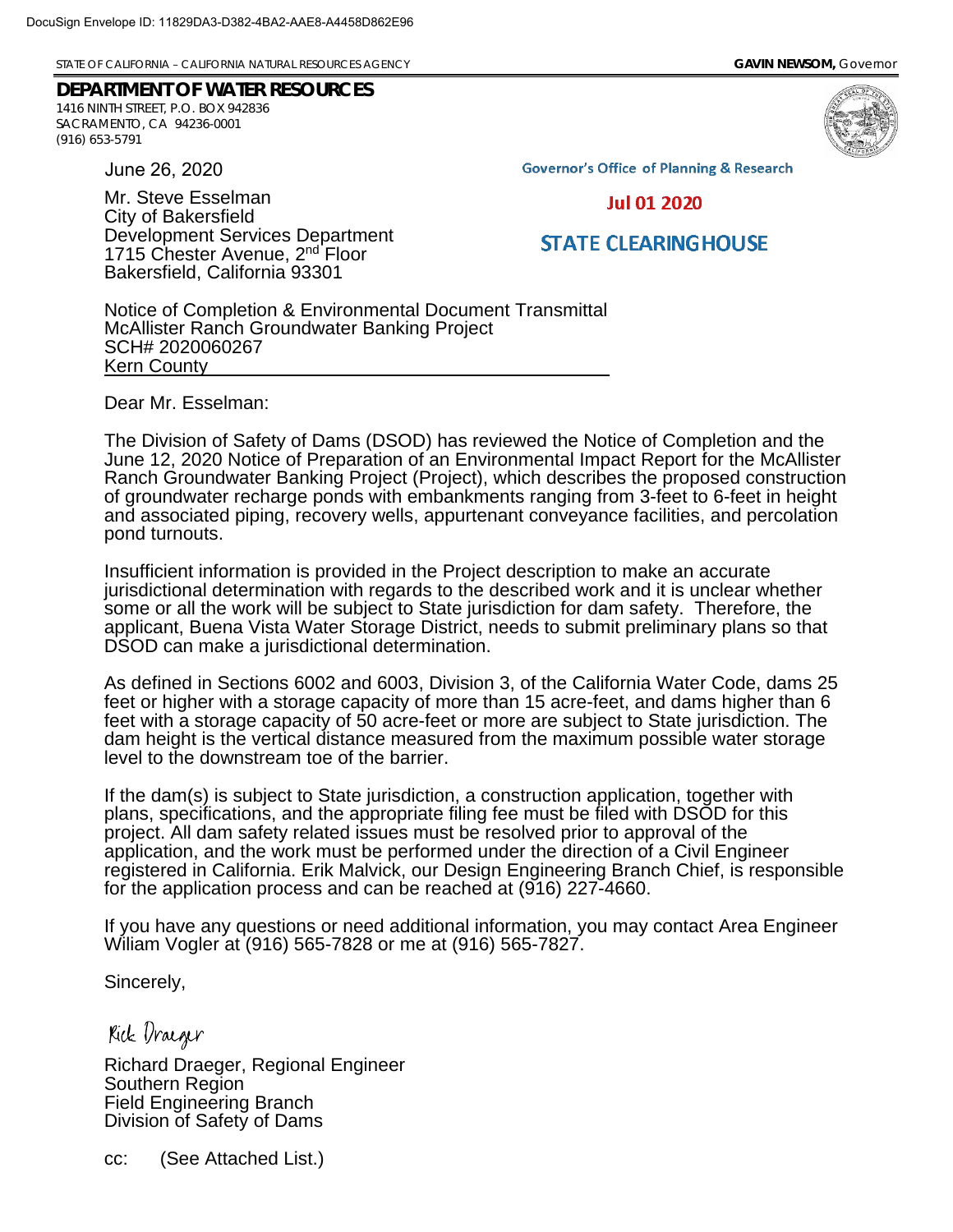STATE OF CALIFORNIA – CALIFORNIA NATURAL RESOURCES AGENCY **GAVIN NEWSOM,** *Governor*

Development Services Department 1715 Chester Avenue, 2<sup>nd</sup> Floor Bakersfield, California 93301

## **DEPARTMENT OF WATER RESOURCES** 1416 NINTH STREET, P.O. BOX 942836 SACRAMENTO, CA 94236-0001 (916) 653-5791

June 26, 2020

Mr. Steve Esselman City of Bakersfield

**Governor's Office of Planning & Research** 

**Jul 01 2020** 

## **STATE CLEARINGHOUSE**

Notice of Completion & Environmental Document Transmittal McAllister Ranch Groundwater Banking Project SCH# 2020060267 Kern County \_

Dear Mr. Esselman:

The Division of Safety of Dams (DSOD) has reviewed the Notice of Completion and the June 12, 2020 Notice of Preparation of an Environmental Impact Report for the McAllister Ranch Groundwater Banking Project (Project), which describes the proposed construction of groundwater recharge ponds with embankments ranging from 3-feet to 6-feet in height and associated piping, recovery wells, appurtenant conveyance facilities, and percolation pond turnouts.

Insufficient information is provided in the Project description to make an accurate jurisdictional determination with regards to the described work and it is unclear whether some or all the work will be subject to State jurisdiction for dam safety. Therefore, the applicant, Buena Vista Water Storage District, needs to submit preliminary plans so that DSOD can make a jurisdictional determination.

As defined in Sections 6002 and 6003, Division 3, of the California Water Code, dams 25 feet or higher with a storage capacity of more than 15 acre-feet, and dams higher than 6 feet with a storage capacity of 50 acre-feet or more are subject to State jurisdiction. The dam height is the vertical distance measured from the maximum possible water storage level to the downstream toe of the barrier.

If the dam(s) is subject to State jurisdiction, a construction application, together with plans, specifications, and the appropriate filing fee must be filed with DSOD for this project. All dam safety related issues must be resolved prior to approval of the application, and the work must be performed under the direction of a Civil Engineer registered in California. Erik Malvick, our Design Engineering Branch Chief, is responsible for the application process and can be reached at (916) 227-4660.

If you have any questions or need additional information, you may contact Area Engineer Wiliam Vogler at (916) 565-7828 or me at (916) 565-7827.

Sincerely,

Kick Dracger

Richard Draeger, Regional Engineer Southern Region Field Engineering Branch Division of Safety of Dams

cc: (See Attached List.)